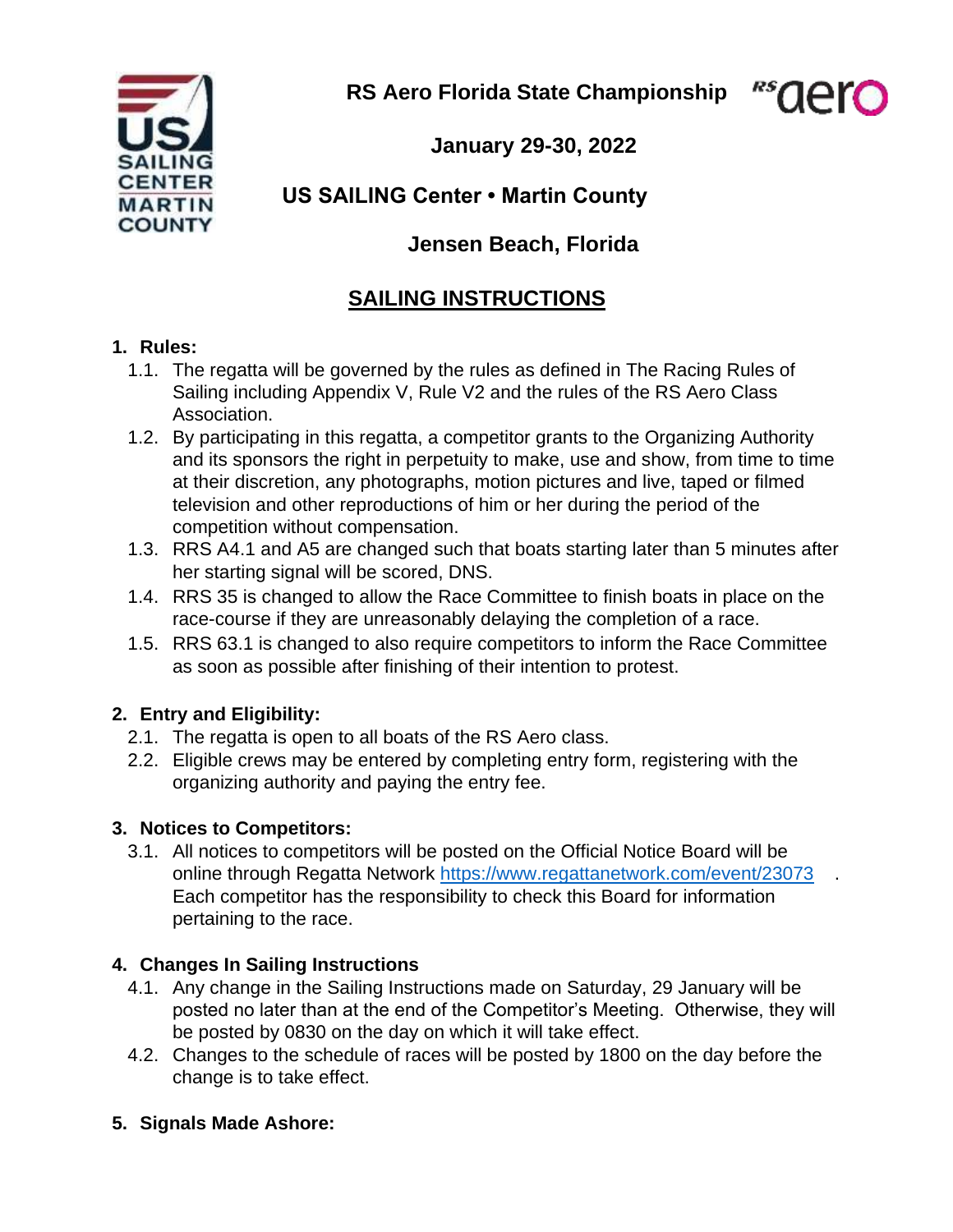**RS Aero Florida State Championship** 

"saer



**January 29-30, 2022**

# **US SAILING Center • Martin County**

# **Jensen Beach, Florida**

# **SAILING INSTRUCTIONS**

#### **1. Rules:**

- 1.1. The regatta will be governed by the rules as defined in The Racing Rules of Sailing including Appendix V, Rule V2 and the rules of the RS Aero Class Association.
- 1.2. By participating in this regatta, a competitor grants to the Organizing Authority and its sponsors the right in perpetuity to make, use and show, from time to time at their discretion, any photographs, motion pictures and live, taped or filmed television and other reproductions of him or her during the period of the competition without compensation.
- 1.3. RRS A4.1 and A5 are changed such that boats starting later than 5 minutes after her starting signal will be scored, DNS.
- 1.4. RRS 35 is changed to allow the Race Committee to finish boats in place on the race-course if they are unreasonably delaying the completion of a race.
- 1.5. RRS 63.1 is changed to also require competitors to inform the Race Committee as soon as possible after finishing of their intention to protest.

# **2. Entry and Eligibility:**

- 2.1. The regatta is open to all boats of the RS Aero class.
- 2.2. Eligible crews may be entered by completing entry form, registering with the organizing authority and paying the entry fee.

# **3. Notices to Competitors:**

3.1. All notices to competitors will be posted on the Official Notice Board will be online through Regatta Network <https://www.regattanetwork.com/event/23073> [.](https://www.regattanetwork.com/event/21367) Each competitor has the responsibility to check this Board for information pertaining to the race.

# **4. Changes In Sailing Instructions**

- 4.1. Any change in the Sailing Instructions made on Saturday, 29 January will be posted no later than at the end of the Competitor's Meeting. Otherwise, they will be posted by 0830 on the day on which it will take effect.
- 4.2. Changes to the schedule of races will be posted by 1800 on the day before the change is to take effect.
- **5. Signals Made Ashore:**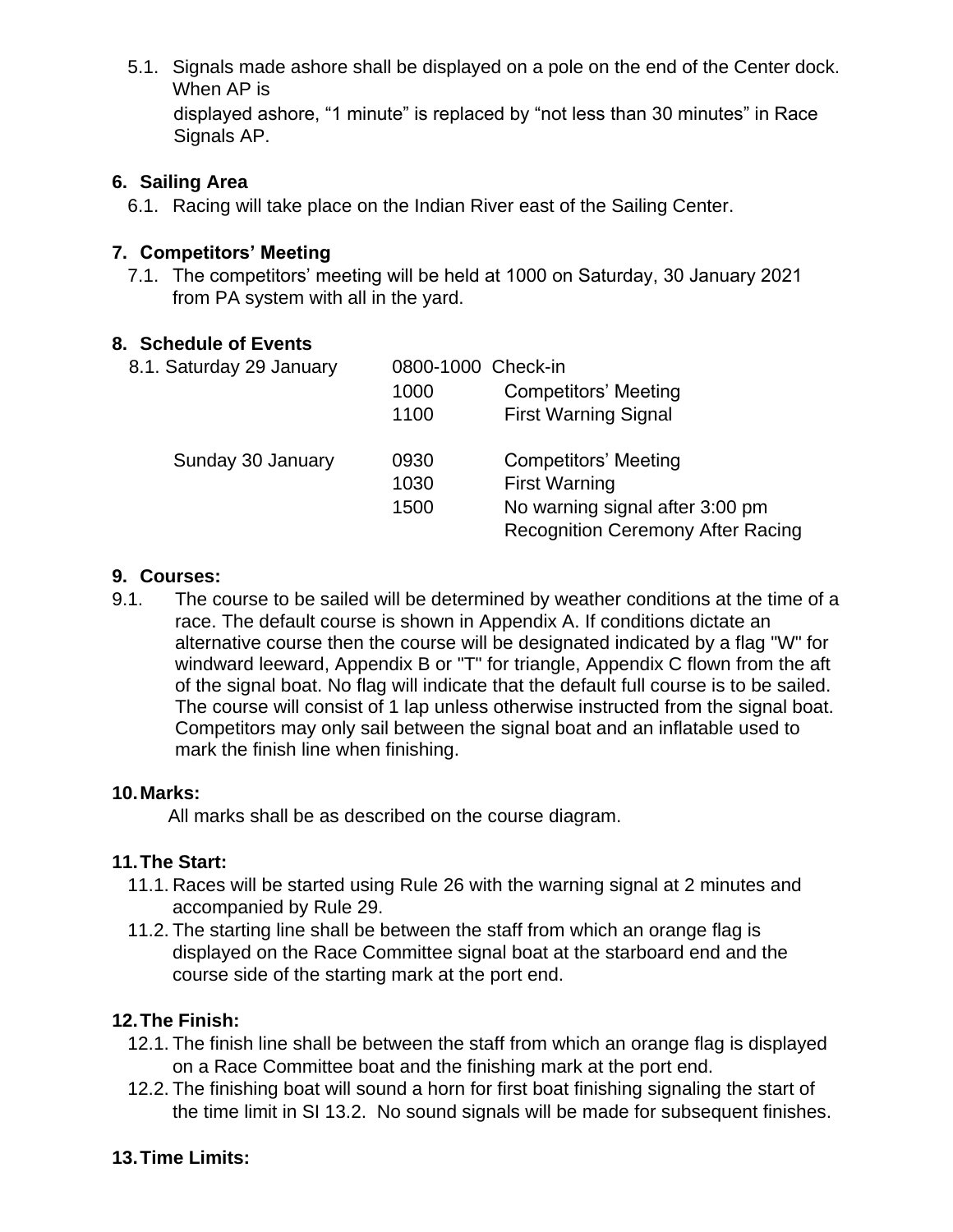5.1. Signals made ashore shall be displayed on a pole on the end of the Center dock. When AP is

displayed ashore, "1 minute" is replaced by "not less than 30 minutes" in Race Signals AP.

#### **6. Sailing Area**

6.1. Racing will take place on the Indian River east of the Sailing Center.

#### **7. Competitors' Meeting**

7.1. The competitors' meeting will be held at 1000 on Saturday, 30 January 2021 from PA system with all in the yard.

#### **8. Schedule of Events**

| 8.1. Saturday 29 January | 0800-1000 Check-in |                                          |
|--------------------------|--------------------|------------------------------------------|
|                          | 1000               | <b>Competitors' Meeting</b>              |
|                          | 1100               | <b>First Warning Signal</b>              |
| Sunday 30 January        | 0930               | <b>Competitors' Meeting</b>              |
|                          | 1030               | <b>First Warning</b>                     |
|                          | 1500               | No warning signal after 3:00 pm          |
|                          |                    | <b>Recognition Ceremony After Racing</b> |

#### **9. Courses:**

9.1. The course to be sailed will be determined by weather conditions at the time of a race. The default course is shown in Appendix A. If conditions dictate an alternative course then the course will be designated indicated by a flag "W" for windward leeward, Appendix B or "T" for triangle, Appendix C flown from the aft of the signal boat. No flag will indicate that the default full course is to be sailed. The course will consist of 1 lap unless otherwise instructed from the signal boat. Competitors may only sail between the signal boat and an inflatable used to mark the finish line when finishing.

#### **10.Marks:**

All marks shall be as described on the course diagram.

#### **11.The Start:**

- 11.1. Races will be started using Rule 26 with the warning signal at 2 minutes and accompanied by Rule 29.
- 11.2. The starting line shall be between the staff from which an orange flag is displayed on the Race Committee signal boat at the starboard end and the course side of the starting mark at the port end.

#### **12.The Finish:**

- 12.1. The finish line shall be between the staff from which an orange flag is displayed on a Race Committee boat and the finishing mark at the port end.
- 12.2. The finishing boat will sound a horn for first boat finishing signaling the start of the time limit in SI 13.2. No sound signals will be made for subsequent finishes.

#### **13.Time Limits:**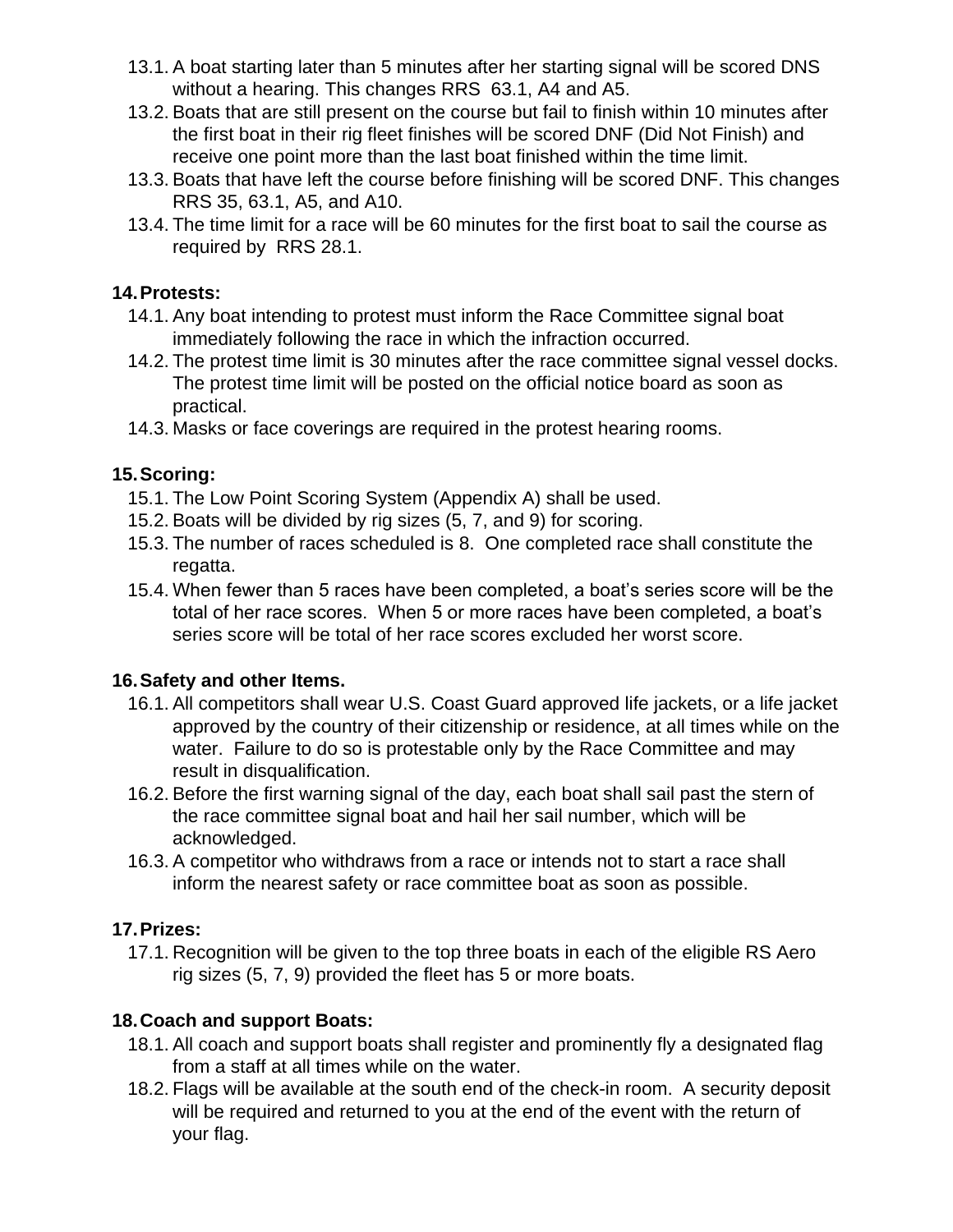- 13.1. A boat starting later than 5 minutes after her starting signal will be scored DNS without a hearing. This changes RRS 63.1, A4 and A5.
- 13.2. Boats that are still present on the course but fail to finish within 10 minutes after the first boat in their rig fleet finishes will be scored DNF (Did Not Finish) and receive one point more than the last boat finished within the time limit.
- 13.3. Boats that have left the course before finishing will be scored DNF. This changes RRS 35, 63.1, A5, and A10.
- 13.4. The time limit for a race will be 60 minutes for the first boat to sail the course as required by RRS 28.1.

### **14.Protests:**

- 14.1. Any boat intending to protest must inform the Race Committee signal boat immediately following the race in which the infraction occurred.
- 14.2. The protest time limit is 30 minutes after the race committee signal vessel docks. The protest time limit will be posted on the official notice board as soon as practical.
- 14.3. Masks or face coverings are required in the protest hearing rooms.

# **15.Scoring:**

- 15.1. The Low Point Scoring System (Appendix A) shall be used.
- 15.2. Boats will be divided by rig sizes (5, 7, and 9) for scoring.
- 15.3. The number of races scheduled is 8. One completed race shall constitute the regatta.
- 15.4. When fewer than 5 races have been completed, a boat's series score will be the total of her race scores. When 5 or more races have been completed, a boat's series score will be total of her race scores excluded her worst score.

# **16.Safety and other Items.**

- 16.1. All competitors shall wear U.S. Coast Guard approved life jackets, or a life jacket approved by the country of their citizenship or residence, at all times while on the water. Failure to do so is protestable only by the Race Committee and may result in disqualification.
- 16.2. Before the first warning signal of the day, each boat shall sail past the stern of the race committee signal boat and hail her sail number, which will be acknowledged.
- 16.3. A competitor who withdraws from a race or intends not to start a race shall inform the nearest safety or race committee boat as soon as possible.

# **17.Prizes:**

17.1. Recognition will be given to the top three boats in each of the eligible RS Aero rig sizes (5, 7, 9) provided the fleet has 5 or more boats.

# **18.Coach and support Boats:**

- 18.1. All coach and support boats shall register and prominently fly a designated flag from a staff at all times while on the water.
- 18.2. Flags will be available at the south end of the check-in room. A security deposit will be required and returned to you at the end of the event with the return of your flag.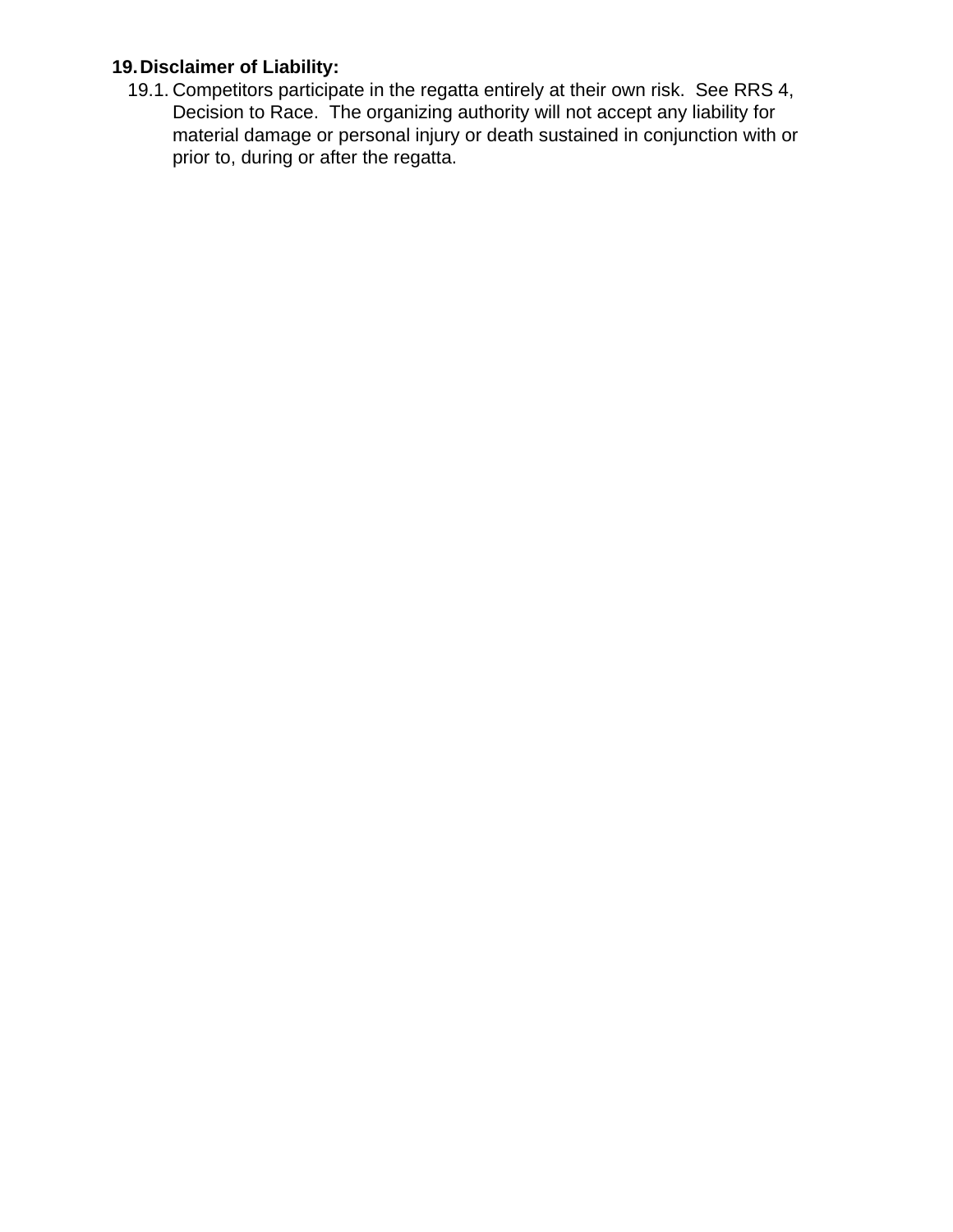# **19.Disclaimer of Liability:**

19.1. Competitors participate in the regatta entirely at their own risk. See RRS 4, Decision to Race. The organizing authority will not accept any liability for material damage or personal injury or death sustained in conjunction with or prior to, during or after the regatta.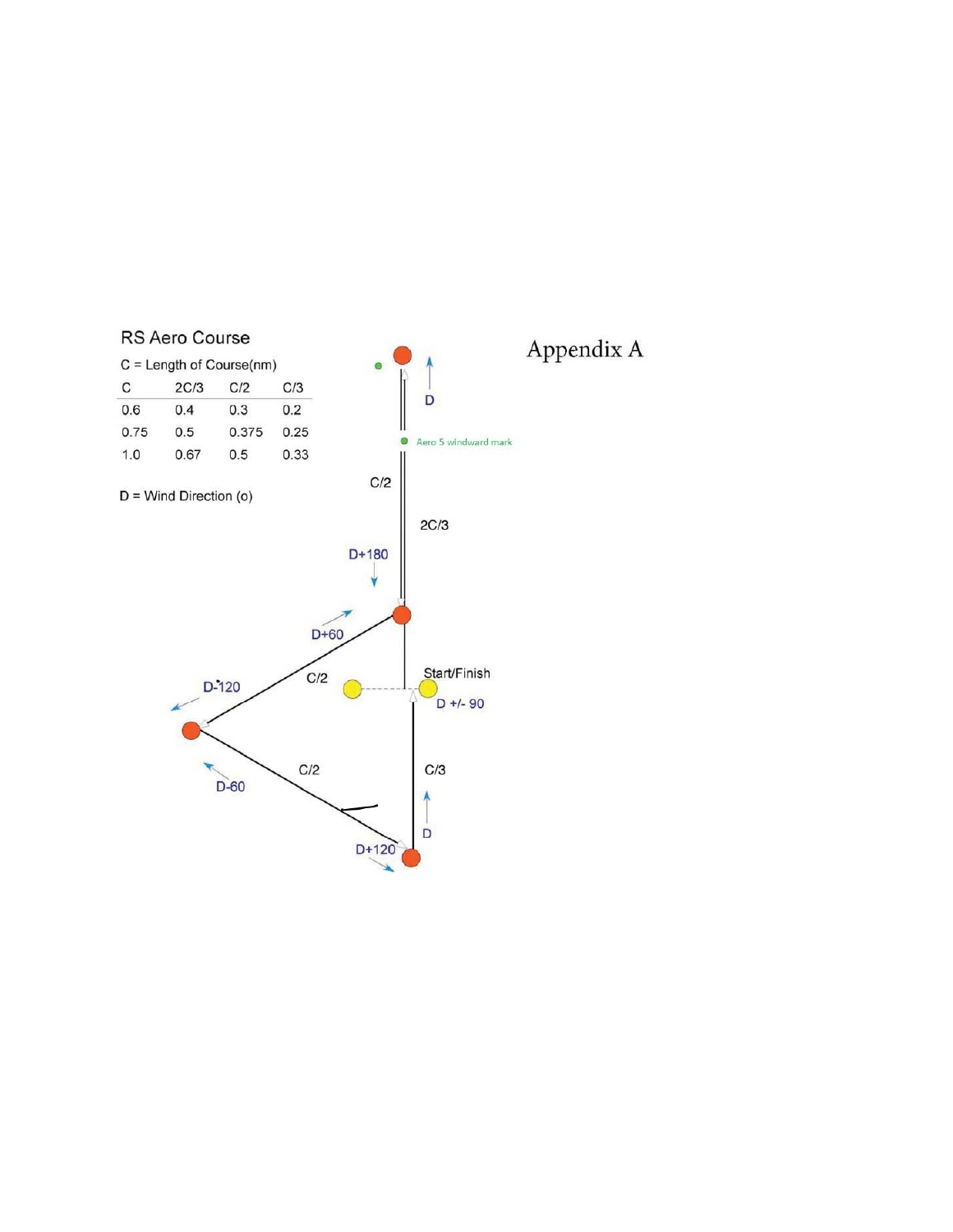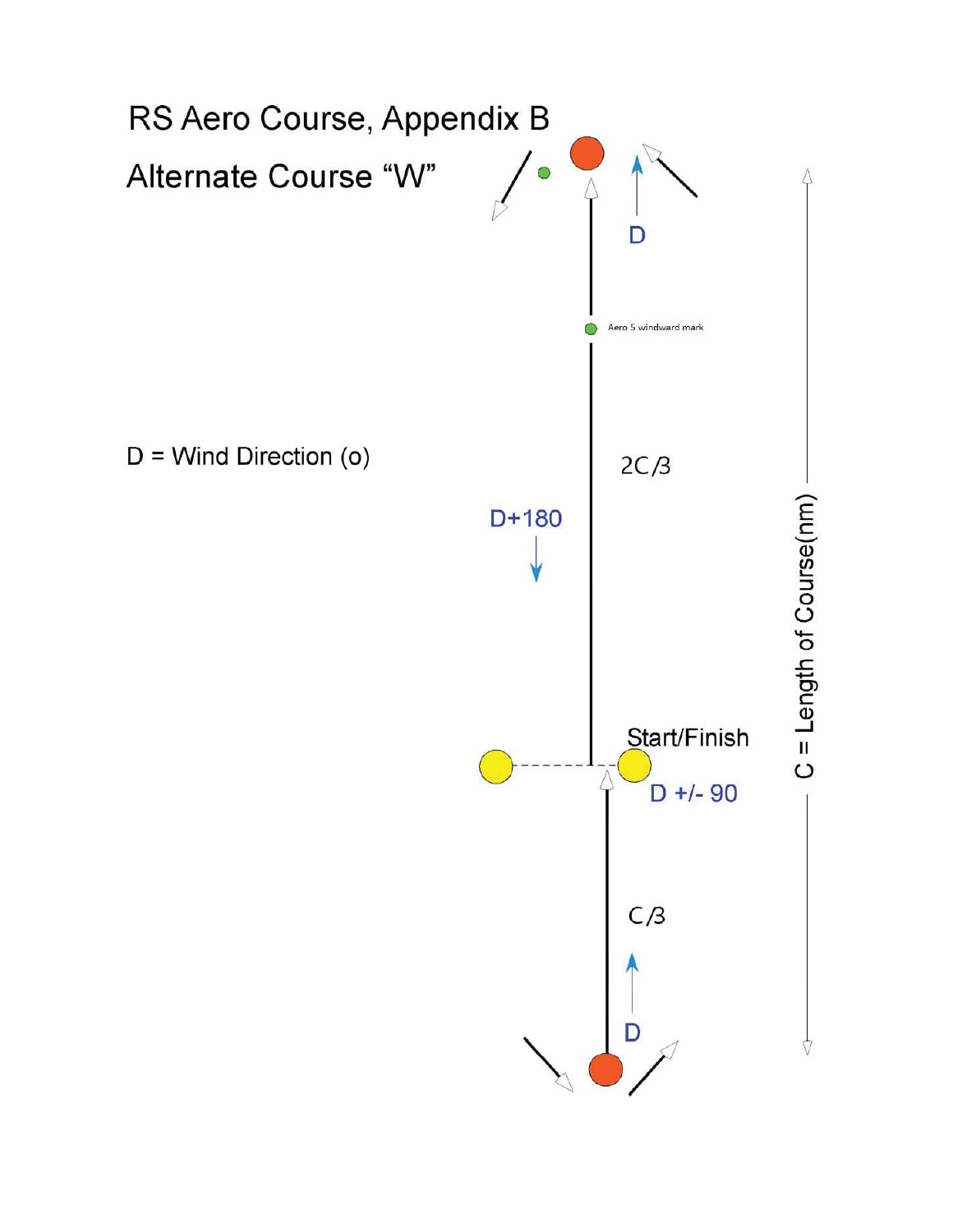